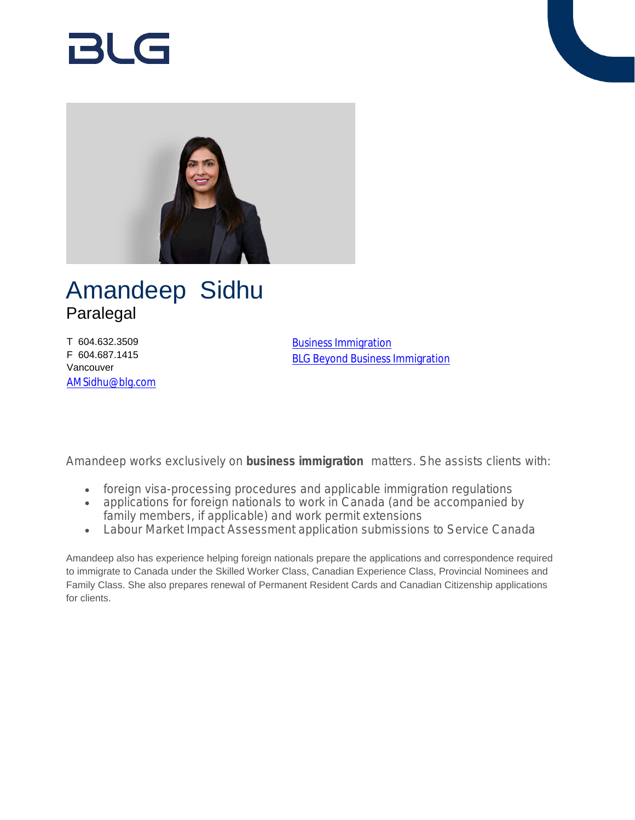# BlG



## Amandeep Sidhu Paralegal

T 604.632.3509 F 604.687.1415 Vancouver [AMSidhu@blg.com](mailto:AMSidhu@blg.com)

[Business Immigration](https://www.blg.com/en/services/practice-areas/labour-,-a-,-employment/business-immigration) [BLG Beyond Business Immigration](https://www.blg.com/en/services/blg-beyond/business-immigration-services)

Amandeep works exclusively on **business immigration** matters. She assists clients with:

- foreign visa-processing procedures and applicable immigration regulations
- applications for foreign nationals to work in Canada (and be accompanied by family members, if applicable) and work permit extensions
- Labour Market Impact Assessment application submissions to Service Canada

Amandeep also has experience helping foreign nationals prepare the applications and correspondence required to immigrate to Canada under the Skilled Worker Class, Canadian Experience Class, Provincial Nominees and Family Class. She also prepares renewal of Permanent Resident Cards and Canadian Citizenship applications for clients.